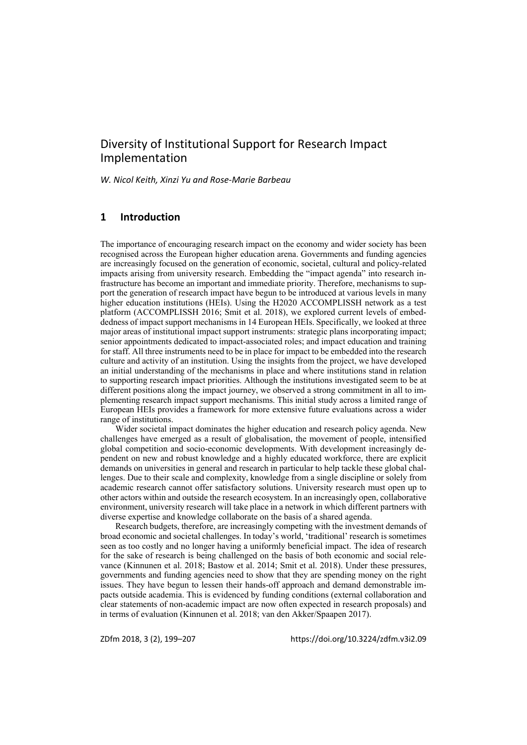# Diversity of Institutional Support for Research Impact Implementation

*W. Nicol Keith, Xinzi Yu and Rose‐Marie Barbeau* 

### **1 Introduction**

The importance of encouraging research impact on the economy and wider society has been recognised across the European higher education arena. Governments and funding agencies are increasingly focused on the generation of economic, societal, cultural and policy-related impacts arising from university research. Embedding the "impact agenda" into research infrastructure has become an important and immediate priority. Therefore, mechanisms to support the generation of research impact have begun to be introduced at various levels in many higher education institutions (HEIs). Using the H2020 ACCOMPLISSH network as a test platform (ACCOMPLISSH 2016; Smit et al. 2018), we explored current levels of embeddedness of impact support mechanisms in 14 European HEIs. Specifically, we looked at three major areas of institutional impact support instruments: strategic plans incorporating impact; senior appointments dedicated to impact-associated roles; and impact education and training for staff. All three instruments need to be in place for impact to be embedded into the research culture and activity of an institution. Using the insights from the project, we have developed an initial understanding of the mechanisms in place and where institutions stand in relation to supporting research impact priorities. Although the institutions investigated seem to be at different positions along the impact journey, we observed a strong commitment in all to implementing research impact support mechanisms. This initial study across a limited range of European HEIs provides a framework for more extensive future evaluations across a wider range of institutions.

Wider societal impact dominates the higher education and research policy agenda. New challenges have emerged as a result of globalisation, the movement of people, intensified global competition and socio-economic developments. With development increasingly dependent on new and robust knowledge and a highly educated workforce, there are explicit demands on universities in general and research in particular to help tackle these global challenges. Due to their scale and complexity, knowledge from a single discipline or solely from academic research cannot offer satisfactory solutions. University research must open up to other actors within and outside the research ecosystem. In an increasingly open, collaborative environment, university research will take place in a network in which different partners with diverse expertise and knowledge collaborate on the basis of a shared agenda.

Research budgets, therefore, are increasingly competing with the investment demands of broad economic and societal challenges. In today's world, 'traditional' research is sometimes seen as too costly and no longer having a uniformly beneficial impact. The idea of research for the sake of research is being challenged on the basis of both economic and social relevance (Kinnunen et al. 2018; Bastow et al. 2014; Smit et al. 2018). Under these pressures, governments and funding agencies need to show that they are spending money on the right issues. They have begun to lessen their hands-off approach and demand demonstrable impacts outside academia. This is evidenced by funding conditions (external collaboration and clear statements of non-academic impact are now often expected in research proposals) and in terms of evaluation (Kinnunen et al. 2018; van den Akker/Spaapen 2017).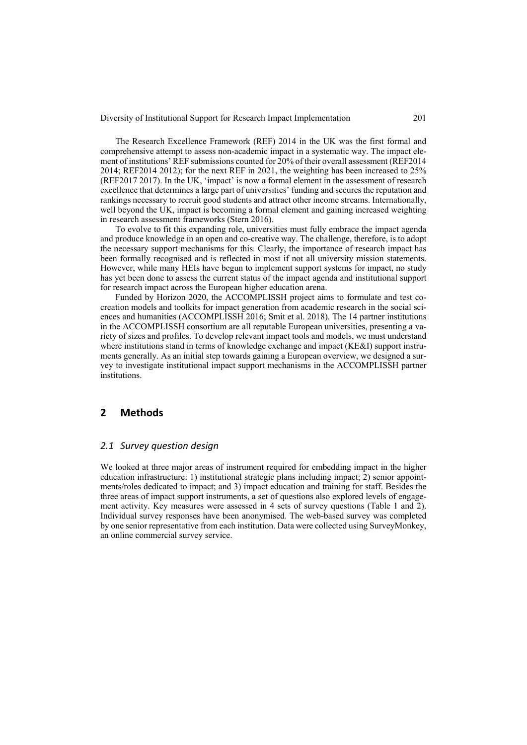The Research Excellence Framework (REF) 2014 in the UK was the first formal and comprehensive attempt to assess non-academic impact in a systematic way. The impact element of institutions' REF submissions counted for 20% of their overall assessment (REF2014 2014; REF2014 2012); for the next REF in 2021, the weighting has been increased to 25% (REF2017 2017). In the UK, 'impact' is now a formal element in the assessment of research excellence that determines a large part of universities' funding and secures the reputation and rankings necessary to recruit good students and attract other income streams. Internationally, well beyond the UK, impact is becoming a formal element and gaining increased weighting in research assessment frameworks (Stern 2016).

To evolve to fit this expanding role, universities must fully embrace the impact agenda and produce knowledge in an open and co-creative way. The challenge, therefore, is to adopt the necessary support mechanisms for this. Clearly, the importance of research impact has been formally recognised and is reflected in most if not all university mission statements. However, while many HEIs have begun to implement support systems for impact, no study has yet been done to assess the current status of the impact agenda and institutional support for research impact across the European higher education arena.

Funded by Horizon 2020, the ACCOMPLISSH project aims to formulate and test cocreation models and toolkits for impact generation from academic research in the social sciences and humanities (ACCOMPLISSH 2016; Smit et al. 2018). The 14 partner institutions in the ACCOMPLISSH consortium are all reputable European universities, presenting a variety of sizes and profiles. To develop relevant impact tools and models, we must understand where institutions stand in terms of knowledge exchange and impact (KE&I) support instruments generally. As an initial step towards gaining a European overview, we designed a survey to investigate institutional impact support mechanisms in the ACCOMPLISSH partner institutions.

### **2 Methods**

#### *2.1 Survey question design*

We looked at three major areas of instrument required for embedding impact in the higher education infrastructure: 1) institutional strategic plans including impact; 2) senior appointments/roles dedicated to impact; and 3) impact education and training for staff. Besides the three areas of impact support instruments, a set of questions also explored levels of engagement activity. Key measures were assessed in 4 sets of survey questions (Table 1 and 2). Individual survey responses have been anonymised. The web-based survey was completed by one senior representative from each institution. Data were collected using SurveyMonkey, an online commercial survey service.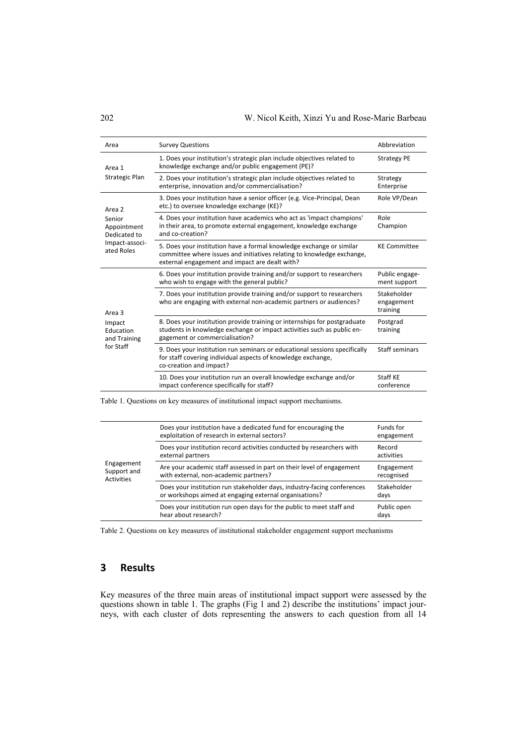| Area                                                                            | <b>Survey Questions</b>                                                                                                                                                                          | Abbreviation                          |
|---------------------------------------------------------------------------------|--------------------------------------------------------------------------------------------------------------------------------------------------------------------------------------------------|---------------------------------------|
| Area 1<br>Strategic Plan                                                        | 1. Does your institution's strategic plan include objectives related to<br>knowledge exchange and/or public engagement (PE)?                                                                     | <b>Strategy PE</b>                    |
|                                                                                 | 2. Does your institution's strategic plan include objectives related to<br>enterprise, innovation and/or commercialisation?                                                                      | Strategy<br>Enterprise                |
| Area 2<br>Senior<br>Appointment<br>Dedicated to<br>Impact-associ-<br>ated Roles | 3. Does your institution have a senior officer (e.g. Vice-Principal, Dean<br>etc.) to oversee knowledge exchange (KE)?                                                                           | Role VP/Dean                          |
|                                                                                 | 4. Does your institution have academics who act as 'impact champions'<br>in their area, to promote external engagement, knowledge exchange<br>and co-creation?                                   | Role<br>Champion                      |
|                                                                                 | 5. Does your institution have a formal knowledge exchange or similar<br>committee where issues and initiatives relating to knowledge exchange,<br>external engagement and impact are dealt with? | <b>KE Committee</b>                   |
| Area 3<br>Impact<br>Education<br>and Training<br>for Staff                      | 6. Does your institution provide training and/or support to researchers<br>who wish to engage with the general public?                                                                           | Public engage-<br>ment support        |
|                                                                                 | 7. Does your institution provide training and/or support to researchers<br>who are engaging with external non-academic partners or audiences?                                                    | Stakeholder<br>engagement<br>training |
|                                                                                 | 8. Does your institution provide training or internships for postgraduate<br>students in knowledge exchange or impact activities such as public en-<br>gagement or commercialisation?            | Postgrad<br>training                  |
|                                                                                 | 9. Does your institution run seminars or educational sessions specifically<br>for staff covering individual aspects of knowledge exchange,<br>co-creation and impact?                            | Staff seminars                        |
|                                                                                 | 10. Does your institution run an overall knowledge exchange and/or<br>impact conference specifically for staff?                                                                                  | Staff KE<br>conference                |

Table 1. Questions on key measures of institutional impact support mechanisms.

| Engagement<br>Support and<br><b>Activities</b> | Does your institution have a dedicated fund for encouraging the<br>exploitation of research in external sectors?                  | Funds for<br>engagement  |
|------------------------------------------------|-----------------------------------------------------------------------------------------------------------------------------------|--------------------------|
|                                                | Does your institution record activities conducted by researchers with<br>external partners                                        | Record<br>activities     |
|                                                | Are your academic staff assessed in part on their level of engagement<br>with external, non-academic partners?                    | Engagement<br>recognised |
|                                                | Does your institution run stakeholder days, industry-facing conferences<br>or workshops aimed at engaging external organisations? | Stakeholder<br>days      |
|                                                | Does your institution run open days for the public to meet staff and<br>hear about research?                                      | Public open<br>days      |

Table 2. Questions on key measures of institutional stakeholder engagement support mechanisms

### **3 Results**

Key measures of the three main areas of institutional impact support were assessed by the questions shown in table 1. The graphs (Fig 1 and 2) describe the institutions' impact journeys, with each cluster of dots representing the answers to each question from all 14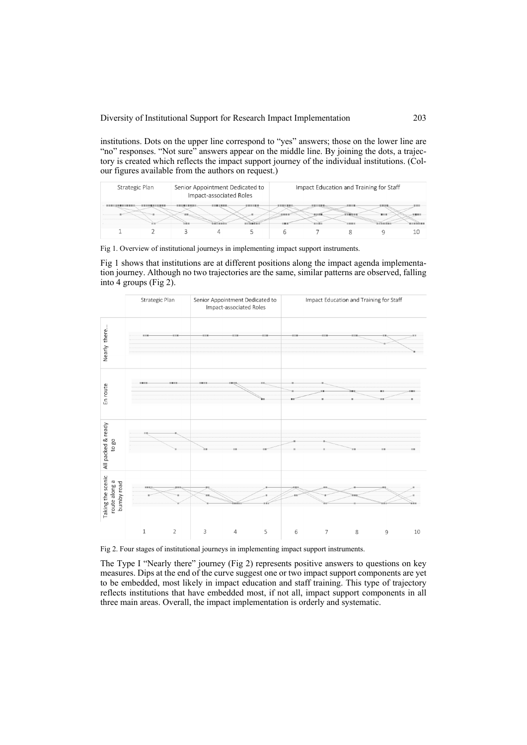institutions. Dots on the upper line correspond to "yes" answers; those on the lower line are "no" responses. "Not sure" answers appear on the middle line. By joining the dots, a trajectory is created which reflects the impact support journey of the individual institutions. (Colour figures available from the authors on request.)



Fig 1. Overview of institutional journeys in implementing impact support instruments.

Fig 1 shows that institutions are at different positions along the impact agenda implementation journey. Although no two trajectories are the same, similar patterns are observed, falling into 4 groups (Fig 2).



Fig 2. Four stages of institutional journeys in implementing impact support instruments.

The Type I "Nearly there" journey (Fig 2) represents positive answers to questions on key measures. Dips at the end of the curve suggest one or two impact support components are yet to be embedded, most likely in impact education and staff training. This type of trajectory reflects institutions that have embedded most, if not all, impact support components in all three main areas. Overall, the impact implementation is orderly and systematic.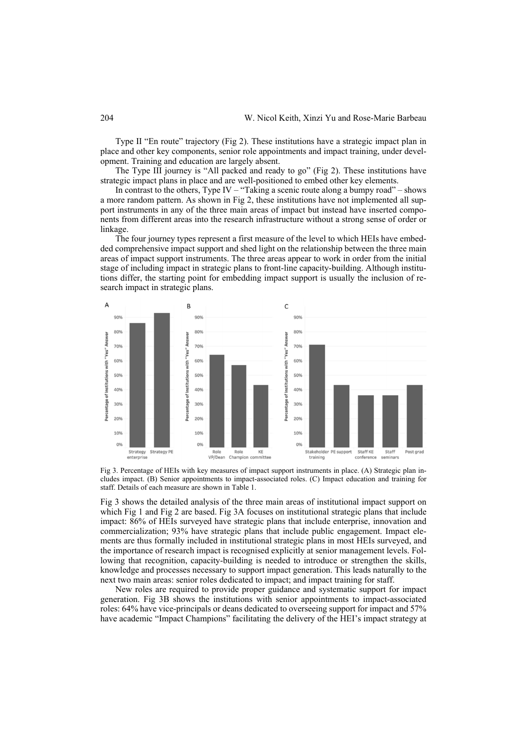Type II "En route" trajectory (Fig 2). These institutions have a strategic impact plan in place and other key components, senior role appointments and impact training, under development. Training and education are largely absent.

The Type III journey is "All packed and ready to go" (Fig 2). These institutions have strategic impact plans in place and are well-positioned to embed other key elements.

In contrast to the others, Type IV – "Taking a scenic route along a bumpy road" – shows a more random pattern. As shown in Fig 2, these institutions have not implemented all support instruments in any of the three main areas of impact but instead have inserted components from different areas into the research infrastructure without a strong sense of order or linkage.

The four journey types represent a first measure of the level to which HEIs have embedded comprehensive impact support and shed light on the relationship between the three main areas of impact support instruments. The three areas appear to work in order from the initial stage of including impact in strategic plans to front-line capacity-building. Although institutions differ, the starting point for embedding impact support is usually the inclusion of research impact in strategic plans.



Fig 3. Percentage of HEIs with key measures of impact support instruments in place. (A) Strategic plan includes impact. (B) Senior appointments to impact-associated roles. (C) Impact education and training for staff. Details of each measure are shown in Table 1.

Fig 3 shows the detailed analysis of the three main areas of institutional impact support on which Fig 1 and Fig 2 are based. Fig 3A focuses on institutional strategic plans that include impact: 86% of HEIs surveyed have strategic plans that include enterprise, innovation and commercialization; 93% have strategic plans that include public engagement. Impact elements are thus formally included in institutional strategic plans in most HEIs surveyed, and the importance of research impact is recognised explicitly at senior management levels. Following that recognition, capacity-building is needed to introduce or strengthen the skills, knowledge and processes necessary to support impact generation. This leads naturally to the next two main areas: senior roles dedicated to impact; and impact training for staff.

New roles are required to provide proper guidance and systematic support for impact generation. Fig 3B shows the institutions with senior appointments to impact-associated roles: 64% have vice-principals or deans dedicated to overseeing support for impact and 57% have academic "Impact Champions" facilitating the delivery of the HEI's impact strategy at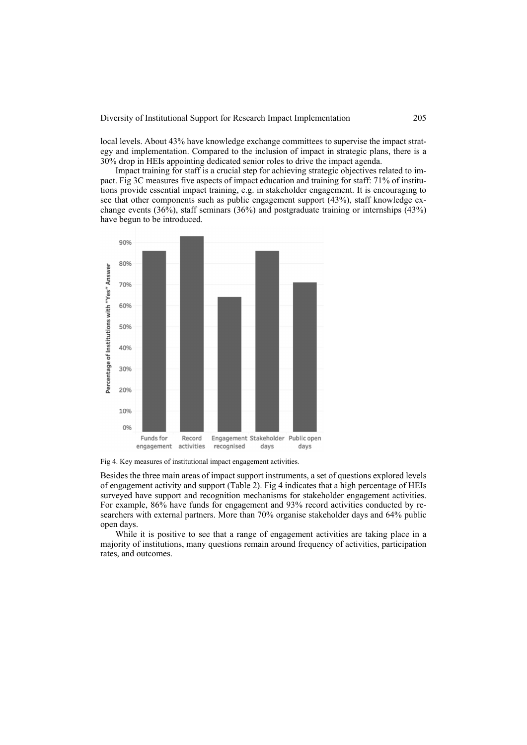local levels. About 43% have knowledge exchange committees to supervise the impact strategy and implementation. Compared to the inclusion of impact in strategic plans, there is a 30% drop in HEIs appointing dedicated senior roles to drive the impact agenda.

Impact training for staff is a crucial step for achieving strategic objectives related to impact. Fig 3C measures five aspects of impact education and training for staff: 71% of institutions provide essential impact training, e.g. in stakeholder engagement. It is encouraging to see that other components such as public engagement support (43%), staff knowledge exchange events (36%), staff seminars (36%) and postgraduate training or internships (43%) have begun to be introduced.



Fig 4. Key measures of institutional impact engagement activities.

Besides the three main areas of impact support instruments, a set of questions explored levels of engagement activity and support (Table 2). Fig 4 indicates that a high percentage of HEIs surveyed have support and recognition mechanisms for stakeholder engagement activities. For example, 86% have funds for engagement and 93% record activities conducted by researchers with external partners. More than 70% organise stakeholder days and 64% public open days.

While it is positive to see that a range of engagement activities are taking place in a majority of institutions, many questions remain around frequency of activities, participation rates, and outcomes.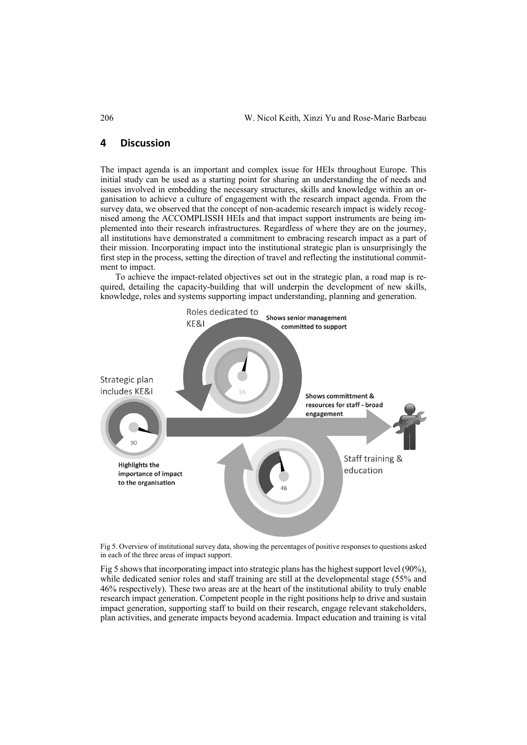## **4 Discussion**

The impact agenda is an important and complex issue for HEIs throughout Europe. This initial study can be used as a starting point for sharing an understanding the of needs and issues involved in embedding the necessary structures, skills and knowledge within an organisation to achieve a culture of engagement with the research impact agenda. From the survey data, we observed that the concept of non-academic research impact is widely recognised among the ACCOMPLISSH HEIs and that impact support instruments are being implemented into their research infrastructures. Regardless of where they are on the journey, all institutions have demonstrated a commitment to embracing research impact as a part of their mission. Incorporating impact into the institutional strategic plan is unsurprisingly the first step in the process, setting the direction of travel and reflecting the institutional commitment to impact.

To achieve the impact-related objectives set out in the strategic plan, a road map is required, detailing the capacity-building that will underpin the development of new skills, knowledge, roles and systems supporting impact understanding, planning and generation.



Fig 5. Overview of institutional survey data, showing the percentages of positive responses to questions asked in each of the three areas of impact support.

Fig 5 shows that incorporating impact into strategic plans has the highest support level (90%), while dedicated senior roles and staff training are still at the developmental stage (55% and 46% respectively). These two areas are at the heart of the institutional ability to truly enable research impact generation. Competent people in the right positions help to drive and sustain impact generation, supporting staff to build on their research, engage relevant stakeholders, plan activities, and generate impacts beyond academia. Impact education and training is vital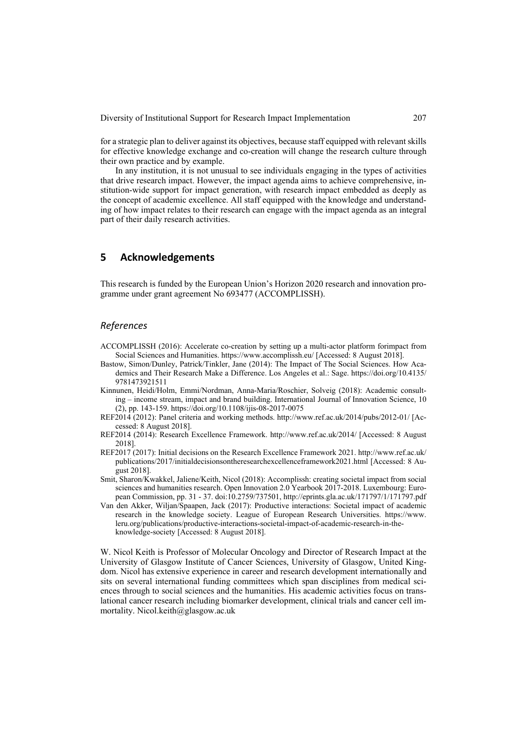for a strategic plan to deliver against its objectives, because staff equipped with relevant skills for effective knowledge exchange and co-creation will change the research culture through their own practice and by example.

In any institution, it is not unusual to see individuals engaging in the types of activities that drive research impact. However, the impact agenda aims to achieve comprehensive, institution-wide support for impact generation, with research impact embedded as deeply as the concept of academic excellence. All staff equipped with the knowledge and understanding of how impact relates to their research can engage with the impact agenda as an integral part of their daily research activities.

#### **5 Acknowledgements**

This research is funded by the European Union's Horizon 2020 research and innovation programme under grant agreement No 693477 (ACCOMPLISSH).

#### *References*

- ACCOMPLISSH (2016): Accelerate co-creation by setting up a multi-actor platform forimpact from Social Sciences and Humanities. [https://www.accomplissh.eu/ \[A](https://www.accomplissh.eu/)ccessed: 8 August 2018].
- Bastow, Simon/Dunley, Patrick/Tinkler, Jane (2014): The Impact of The Social Sciences. How Academics and Their Research Make a Difference. Los Angeles et al.: Sage. [https://doi.org/10.4135/](https://doi.org/10.4135/9781473921511) 9781473921511
- Kinnunen, Heidi/Holm, Emmi/Nordman, Anna-Maria/Roschier, Solveig (2018): Academic consulting – income stream, impact and brand building. International Journal of Innovation Science, 10 (2), pp. 143-159. <https://doi.org/10.1108/ijis-08-2017-0075>
- REF2014 (2012): Panel criteria and working methods. [http://www.ref.ac.uk/2014/pubs/2012-01/ \[A](http://www.ref.ac.uk/2014/pubs/2012-01/)ccessed: 8 August 2018].
- REF2014 (2014): Research Excellence Framework. [http://www.ref.ac.uk/2014/ \[A](http://www.ref.ac.uk/2014/)ccessed: 8 August 2018].
- REF2017 (2017): Initial decisions on the Research Excellence Framework 2021.<http://www.ref.ac.uk/> publications/2017/initialdecisionsontheresearchexcellenceframework2021.html [Accessed: 8 August 2018].
- Smit, Sharon/Kwakkel, Jaliene/Keith, Nicol (2018): Accomplissh: creating societal impact from social sciences and humanities research. Open Innovation 2.0 Yearbook 2017-2018. Luxembourg: European Commission, pp. 31 - 37. doi:10.2759/737501, <http://eprints.gla.ac.uk/171797/1/171797.pdf>
- Van den Akker, Wiljan/Spaapen, Jack (2017): Productive interactions: Societal impact of academic research in the knowledge society. League of European Research Universities. [https://www.](https://www.leru.org/publications/productive-interactions-societal-impact-of-academic-research-in-theknowledge-society) leru.org/publications/productive-interactions-societal-impact-of-academic-research-in-theknowledge-society [Accessed: 8 August 2018].

W. Nicol Keith is Professor of Molecular Oncology and Director of Research Impact at the University of Glasgow Institute of Cancer Sciences, University of Glasgow, United Kingdom. Nicol has extensive experience in career and research development internationally and sits on several international funding committees which span disciplines from medical sciences through to social sciences and the humanities. His academic activities focus on translational cancer research including biomarker development, clinical trials and cancer cell immortality. [Nicol.keith@glasgow.ac.uk](mailto:Nicol.keith@glasgow.ac.uk)